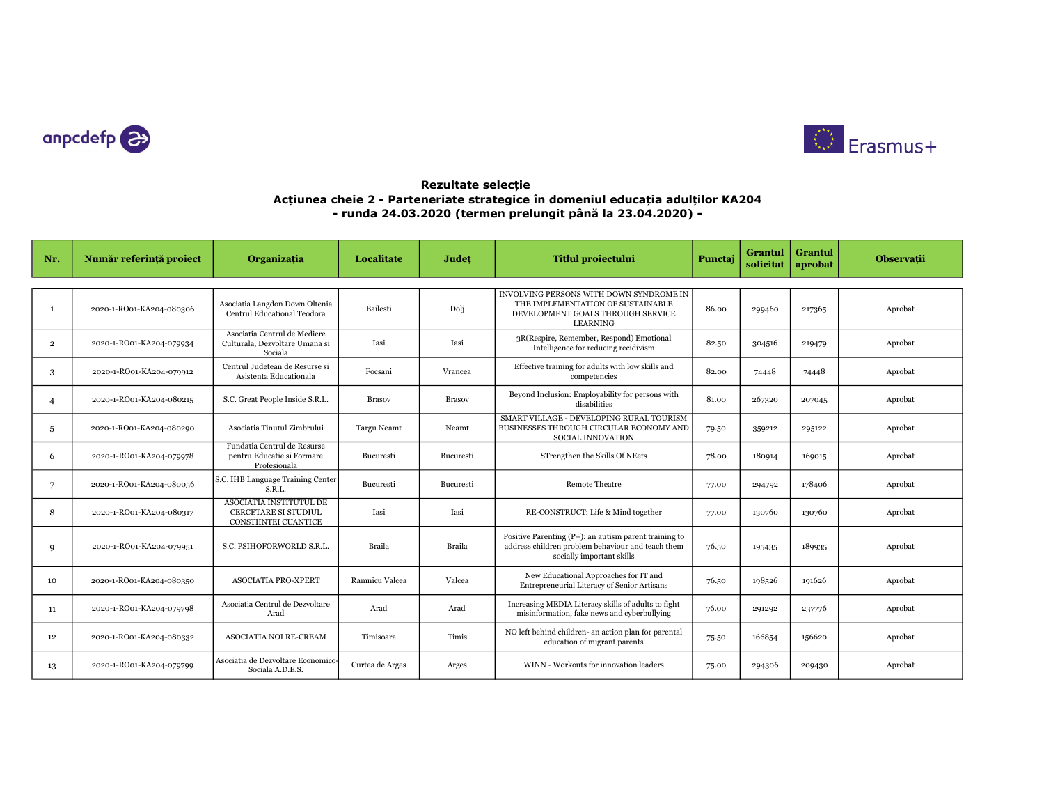



## Rezultate selecție Acțiunea cheie 2 - Parteneriate strategice în domeniul educația adulților KA204 - runda 24.03.2020 (termen prelungit până la 23.04.2020) -

| Nr.            | Număr referință proiect  | Organizația                                                                           | Localitate         | Judet            | <b>Titlul proiectului</b>                                                                                                                 | Punctai | Grantul<br>solicitat | Grantul<br>aprobat | Observatii |
|----------------|--------------------------|---------------------------------------------------------------------------------------|--------------------|------------------|-------------------------------------------------------------------------------------------------------------------------------------------|---------|----------------------|--------------------|------------|
|                |                          |                                                                                       |                    |                  |                                                                                                                                           |         |                      |                    |            |
| $\mathbf{1}$   | 2020-1-RO01-KA204-080306 | Asociatia Langdon Down Oltenia<br>Centrul Educational Teodora                         | Bailesti           | Dolj             | INVOLVING PERSONS WITH DOWN SYNDROME IN<br>THE IMPLEMENTATION OF SUSTAINABLE<br>DEVELOPMENT GOALS THROUGH SERVICE<br><b>LEARNING</b>      | 86.00   | 299460               | 217365             | Aprobat    |
| $\overline{2}$ | 2020-1-RO01-KA204-079934 | Asociatia Centrul de Mediere<br>Culturala, Dezvoltare Umana si<br>Sociala             | Iasi               | Iasi             | 3R(Respire, Remember, Respond) Emotional<br>Intelligence for reducing recidivism                                                          | 82.50   | 304516               | 219479             | Aprobat    |
| 3              | 2020-1-RO01-KA204-079912 | Centrul Judetean de Resurse si<br>Asistenta Educationala                              | Focsani            | Vrancea          | Effective training for adults with low skills and<br>competencies                                                                         | 82.00   | 74448                | 74448              | Aprobat    |
| $\overline{4}$ | 2020-1-RO01-KA204-080215 | S.C. Great People Inside S.R.L.                                                       | <b>Brasov</b>      | <b>Brasov</b>    | Beyond Inclusion: Employability for persons with<br>disabilities                                                                          | 81.00   | 267320               | 207045             | Aprobat    |
| .5             | 2020-1-RO01-KA204-080290 | Asociatia Tinutul Zimbrului                                                           | <b>Targu Neamt</b> | Neamt            | SMART VILLAGE - DEVELOPING RURAL TOURISM<br>BUSINESSES THROUGH CIRCULAR ECONOMY AND<br><b>SOCIAL INNOVATION</b>                           | 79.50   | 359212               | 295122             | Aprobat    |
| 6              | 2020-1-RO01-KA204-079978 | Fundatia Centrul de Resurse<br>pentru Educatie si Formare<br>Profesionala             | Bucuresti          | <b>Bucuresti</b> | STrengthen the Skills Of NEets                                                                                                            | 78.00   | 180914               | 169015             | Aprobat    |
| 7              | 2020-1-RO01-KA204-080056 | S.C. IHB Language Training Center<br>S.R.L.                                           | Bucuresti          | Bucuresti        | <b>Remote Theatre</b>                                                                                                                     | 77.00   | 294792               | 178406             | Aprobat    |
| 8              | 2020-1-RO01-KA204-080317 | ASOCIATIA INSTITUTUL DE<br><b>CERCETARE SI STUDIUL</b><br><b>CONSTIINTEI CUANTICE</b> | Iasi               | Iasi             | RE-CONSTRUCT: Life & Mind together                                                                                                        | 77.00   | 130760               | 130760             | Aprobat    |
| 9              | 2020-1-RO01-KA204-079951 | S.C. PSIHOFORWORLD S.R.L.                                                             | <b>Braila</b>      | Braila           | Positive Parenting $(P+):$ an autism parent training to<br>address children problem behaviour and teach them<br>socially important skills | 76.50   | 195435               | 189935             | Aprobat    |
| 10             | 2020-1-RO01-KA204-080350 | <b>ASOCIATIA PRO-XPERT</b>                                                            | Ramnicu Valcea     | Valcea           | New Educational Approaches for IT and<br>Entrepreneurial Literacy of Senior Artisans                                                      | 76.50   | 198526               | 191626             | Aprobat    |
| 11             | 2020-1-RO01-KA204-079798 | Asociatia Centrul de Dezvoltare<br>Arad                                               | Arad               | Arad             | Increasing MEDIA Literacy skills of adults to fight<br>misinformation, fake news and cyberbullying                                        | 76.00   | 291292               | 237776             | Aprobat    |
| 12             | 2020-1-RO01-KA204-080332 | ASOCIATIA NOI RE-CREAM                                                                | Timisoara          | Timis            | NO left behind children- an action plan for parental<br>education of migrant parents                                                      | 75.50   | 166854               | 156620             | Aprobat    |
| 13             | 2020-1-RO01-KA204-079799 | Asociatia de Dezvoltare Economico-<br>Sociala A.D.E.S.                                | Curtea de Arges    | Arges            | WINN - Workouts for innovation leaders                                                                                                    | 75.00   | 294306               | 209430             | Aprobat    |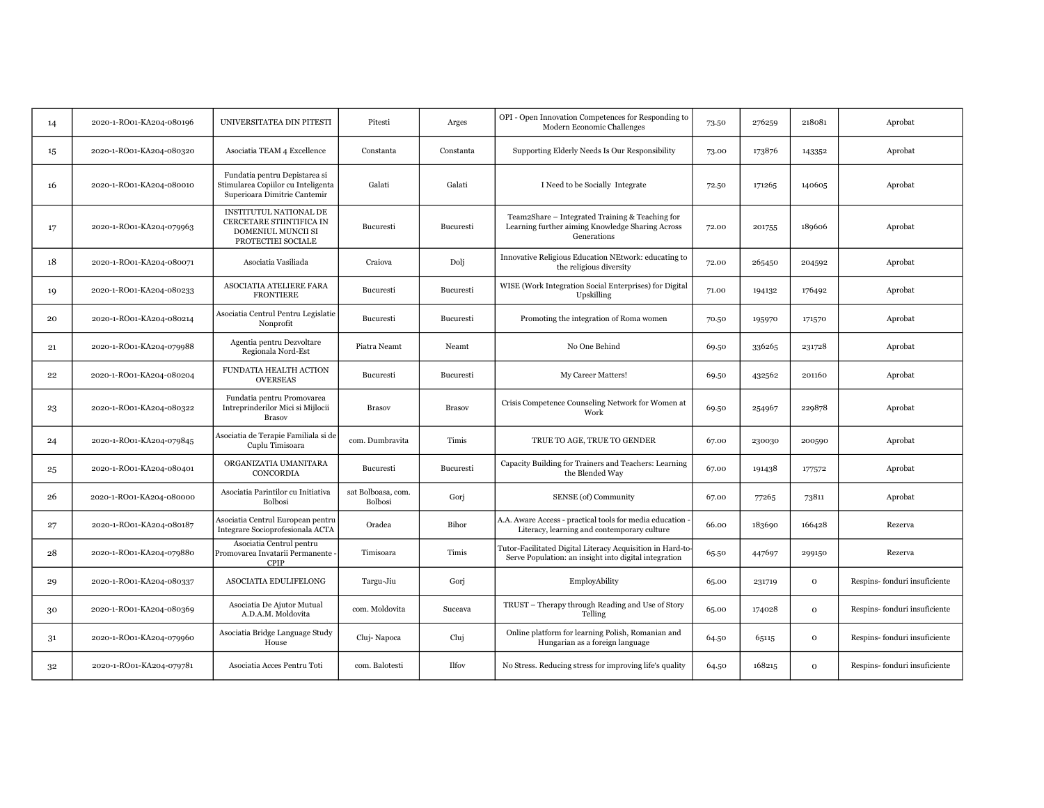| 14 | 2020-1-RO01-KA204-080196 | UNIVERSITATEA DIN PITESTI                                                                           | Pitesti                              | Arges         | OPI - Open Innovation Competences for Responding to<br>Modern Economic Challenges                                   | 73.50 | 276259 | 218081       | Aprobat                      |
|----|--------------------------|-----------------------------------------------------------------------------------------------------|--------------------------------------|---------------|---------------------------------------------------------------------------------------------------------------------|-------|--------|--------------|------------------------------|
| 15 | 2020-1-RO01-KA204-080320 | Asociatia TEAM 4 Excellence                                                                         | Constanta                            | Constanta     | Supporting Elderly Needs Is Our Responsibility                                                                      | 73.00 | 173876 | 143352       | Aprobat                      |
| 16 | 2020-1-RO01-KA204-080010 | Fundatia pentru Depistarea si<br>Stimularea Copiilor cu Inteligenta<br>Superioara Dimitrie Cantemir | Galati                               | Galati        | I Need to be Socially Integrate                                                                                     | 72.50 | 171265 | 140605       | Aprobat                      |
| 17 | 2020-1-RO01-KA204-079963 | INSTITUTUL NATIONAL DE<br>CERCETARE STIINTIFICA IN<br>DOMENIUL MUNCII SI<br>PROTECTIEI SOCIALE      | Bucuresti                            | Bucuresti     | Team2Share - Integrated Training & Teaching for<br>Learning further aiming Knowledge Sharing Across<br>Generations  | 72.00 | 201755 | 189606       | Aprobat                      |
| 18 | 2020-1-RO01-KA204-080071 | Asociatia Vasiliada                                                                                 | Craiova                              | Dolj          | Innovative Religious Education NEtwork: educating to<br>the religious diversity                                     | 72.00 | 265450 | 204592       | Aprobat                      |
| 19 | 2020-1-RO01-KA204-080233 | ASOCIATIA ATELIERE FARA<br><b>FRONTIERE</b>                                                         | Bucuresti                            | Bucuresti     | WISE (Work Integration Social Enterprises) for Digital<br>Upskilling                                                | 71.00 | 194132 | 176492       | Aprobat                      |
| 20 | 2020-1-RO01-KA204-080214 | Asociatia Centrul Pentru Legislatie<br>Nonprofit                                                    | Bucuresti                            | Bucuresti     | Promoting the integration of Roma women                                                                             | 70.50 | 195970 | 171570       | Aprobat                      |
| 21 | 2020-1-RO01-KA204-079988 | Agentia pentru Dezvoltare<br>Regionala Nord-Est                                                     | Piatra Neamt                         | Neamt         | No One Behind                                                                                                       | 69.50 | 336265 | 231728       | Aprobat                      |
| 22 | 2020-1-RO01-KA204-080204 | FUNDATIA HEALTH ACTION<br><b>OVERSEAS</b>                                                           | Bucuresti                            | Bucuresti     | My Career Matters!                                                                                                  | 69.50 | 432562 | 201160       | Aprobat                      |
| 23 | 2020-1-RO01-KA204-080322 | Fundatia pentru Promovarea<br>Intreprinderilor Mici si Mijlocii<br><b>Brasov</b>                    | <b>Brasov</b>                        | <b>Brasov</b> | Crisis Competence Counseling Network for Women at<br>Work                                                           | 69.50 | 254967 | 229878       | Aprobat                      |
| 24 | 2020-1-RO01-KA204-079845 | Asociatia de Terapie Familiala si de<br>Cuplu Timisoara                                             | com. Dumbravita                      | Timis         | TRUE TO AGE, TRUE TO GENDER                                                                                         | 67.00 | 230030 | 200590       | Aprobat                      |
| 25 | 2020-1-RO01-KA204-080401 | ORGANIZATIA UMANITARA<br>CONCORDIA                                                                  | Bucuresti                            | Bucuresti     | Capacity Building for Trainers and Teachers: Learning<br>the Blended Way                                            | 67.00 | 191438 | 177572       | Aprobat                      |
| 26 | 2020-1-RO01-KA204-080000 | Asociatia Parintilor cu Initiativa<br><b>Bolbosi</b>                                                | sat Bolboasa, com.<br><b>Bolbosi</b> | Gorj          | SENSE (of) Community                                                                                                | 67.00 | 77265  | 73811        | Aprobat                      |
| 27 | 2020-1-RO01-KA204-080187 | Asociatia Centrul European pentru<br>Integrare Socioprofesionala ACTA                               | Oradea                               | Bihor         | A.A. Aware Access - practical tools for media education<br>Literacy, learning and contemporary culture              | 66.00 | 183690 | 166428       | Rezerva                      |
| 28 | 2020-1-RO01-KA204-079880 | Asociatia Centrul pentru<br>Promovarea Invatarii Permanente<br><b>CPIP</b>                          | Timisoara                            | Timis         | Tutor-Facilitated Digital Literacy Acquisition in Hard-to-<br>Serve Population: an insight into digital integration | 65.50 | 447697 | 299150       | Rezerva                      |
| 29 | 2020-1-RO01-KA204-080337 | ASOCIATIA EDULIFELONG                                                                               | Targu-Jiu                            | Gorj          | EmployAbility                                                                                                       | 65.00 | 231719 | $\mathbf{O}$ | Respins-fonduri insuficiente |
| 30 | 2020-1-RO01-KA204-080369 | Asociatia De Ajutor Mutual<br>A.D.A.M. Moldovita                                                    | com. Moldovita                       | Suceava       | TRUST - Therapy through Reading and Use of Story<br>Telling                                                         | 65.00 | 174028 | $\mathbf{o}$ | Respins-fonduri insuficiente |
| 31 | 2020-1-RO01-KA204-079960 | Asociatia Bridge Language Study<br>House                                                            | Cluj-Napoca                          | Cluj          | Online platform for learning Polish, Romanian and<br>Hungarian as a foreign language                                | 64.50 | 65115  | $\Omega$     | Respins-fonduri insuficiente |
| 32 | 2020-1-RO01-KA204-079781 | Asociatia Acces Pentru Toti                                                                         | com. Balotesti                       | <b>Ilfov</b>  | No Stress. Reducing stress for improving life's quality                                                             | 64.50 | 168215 | $\Omega$     | Respins-fonduri insuficiente |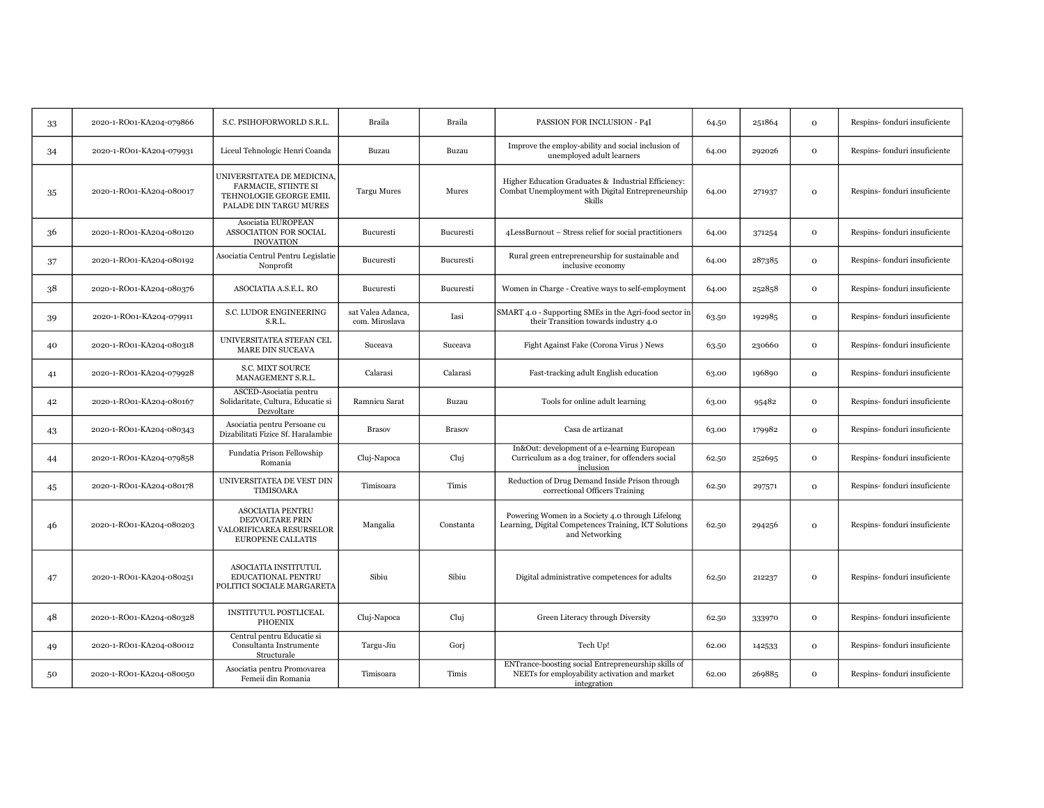| 33 | 2020-1-RO01-KA204-079866 | S.C. PSIHOFORWORLD S.R.L.                                                                              | Braila                              | Braila           | PASSION FOR INCLUSION - P4I                                                                                                 | 64.50 | 251864 | $\mathbf 0$  | Respins-fonduri insuficiente |
|----|--------------------------|--------------------------------------------------------------------------------------------------------|-------------------------------------|------------------|-----------------------------------------------------------------------------------------------------------------------------|-------|--------|--------------|------------------------------|
| 34 | 2020-1-RO01-KA204-079931 | Liceul Tehnologic Henri Coanda                                                                         | Buzau                               | Buzau            | Improve the employ-ability and social inclusion of<br>unemployed adult learners                                             | 64.00 | 292026 | $\mathbf{O}$ | Respins-fonduri insuficiente |
| 35 | 2020-1-RO01-KA204-080017 | UNIVERSITATEA DE MEDICINA,<br>FARMACIE, STIINTE SI<br>TEHNOLOGIE GEORGE EMIL<br>PALADE DIN TARGU MURES | <b>Targu Mures</b>                  | Mures            | Higher Education Graduates & Industrial Efficiency:<br>Combat Unemployment with Digital Entrepreneurship<br>Skills          | 64.00 | 271937 | $\mathbf 0$  | Respins-fonduri insuficiente |
| 36 | 2020-1-RO01-KA204-080120 | Asociatia EUROPEAN<br>ASSOCIATION FOR SOCIAL<br><b>INOVATION</b>                                       | Bucuresti                           | <b>Bucuresti</b> | 4LessBurnout - Stress relief for social practitioners                                                                       | 64.00 | 371254 | $\mathbf{O}$ | Respins-fonduri insuficiente |
| 37 | 2020-1-RO01-KA204-080192 | Asociatia Centrul Pentru Legislatie<br>Nonprofit                                                       | Bucuresti                           | Bucuresti        | Rural green entrepreneurship for sustainable and<br>inclusive economy                                                       | 64.00 | 287385 | $\mathbf 0$  | Respins-fonduri insuficiente |
| 38 | 2020-1-RO01-KA204-080376 | ASOCIATIA A.S.E.L. RO                                                                                  | <b>Bucuresti</b>                    | Bucuresti        | Women in Charge - Creative ways to self-employment                                                                          | 64.00 | 252858 | $\mathbf{O}$ | Respins-fonduri insuficiente |
| 39 | 2020-1-RO01-KA204-079911 | S.C. LUDOR ENGINEERING<br>S.R.L.                                                                       | sat Valea Adanca,<br>com. Miroslava | Iasi             | SMART 4.0 - Supporting SMEs in the Agri-food sector in<br>their Transition towards industry 4.0                             | 63.50 | 192985 | $\mathbf{o}$ | Respins-fonduri insuficiente |
| 40 | 2020-1-RO01-KA204-080318 | UNIVERSITATEA STEFAN CEL<br>MARE DIN SUCEAVA                                                           | Suceava                             | Suceava          | Fight Against Fake (Corona Virus) News                                                                                      | 63.50 | 230660 | $\mathbf{O}$ | Respins-fonduri insuficiente |
| 41 | 2020-1-RO01-KA204-079928 | <b>S.C. MIXT SOURCE</b><br>MANAGEMENT S.R.L.                                                           | Calarasi                            | Calarasi         | Fast-tracking adult English education                                                                                       | 63.00 | 196890 | $\mathbf{O}$ | Respins-fonduri insuficiente |
| 42 | 2020-1-RO01-KA204-080167 | ASCED-Asociatia pentru<br>Solidaritate, Cultura, Educatie si<br>Dezvoltare                             | Ramnicu Sarat                       | Buzau            | Tools for online adult learning                                                                                             | 63.00 | 95482  | $\mathbf 0$  | Respins-fonduri insuficiente |
| 43 | 2020-1-RO01-KA204-080343 | Asociatia pentru Persoane cu<br>Dizabilitati Fizice Sf. Haralambie                                     | <b>Brasov</b>                       | <b>Brasov</b>    | Casa de artizanat                                                                                                           | 63.00 | 179982 | $\mathbf{O}$ | Respins-fonduri insuficiente |
| 44 | 2020-1-RO01-KA204-079858 | Fundatia Prison Fellowship<br>Romania                                                                  | Cluj-Napoca                         | Cluj             | In&Out: development of a e-learning European<br>Curriculum as a dog trainer, for offenders social<br>inclusion              | 62.50 | 252695 | $\mathbf{O}$ | Respins-fonduri insuficiente |
| 45 | 2020-1-RO01-KA204-080178 | UNIVERSITATEA DE VEST DIN<br>TIMISOARA                                                                 | Timisoara                           | Timis            | Reduction of Drug Demand Inside Prison through<br>correctional Officers Training                                            | 62.50 | 297571 | $\mathbf 0$  | Respins-fonduri insuficiente |
| 46 | 2020-1-RO01-KA204-080203 | <b>ASOCIATIA PENTRU</b><br>DEZVOLTARE PRIN<br>VALORIFICAREA RESURSELOR<br>EUROPENE CALLATIS            | Mangalia                            | Constanta        | Powering Women in a Society 4.0 through Lifelong<br>Learning, Digital Competences Training, ICT Solutions<br>and Networking | 62.50 | 294256 | $\mathbf{O}$ | Respins-fonduri insuficiente |
| 47 | 2020-1-RO01-KA204-080251 | ASOCIATIA INSTITUTUL<br>EDUCATIONAL PENTRU<br>POLITICI SOCIALE MARGARETA                               | Sibiu                               | Sibiu            | Digital administrative competences for adults                                                                               | 62.50 | 212237 | $\mathbf{O}$ | Respins-fonduri insuficiente |
| 48 | 2020-1-RO01-KA204-080328 | <b>INSTITUTUL POSTLICEAL</b><br><b>PHOENIX</b>                                                         | Cluj-Napoca                         | Cluj             | Green Literacy through Diversity                                                                                            | 62.50 | 333970 | $\mathbf{O}$ | Respins-fonduri insuficiente |
| 49 | 2020-1-RO01-KA204-080012 | Centrul pentru Educatie si<br>Consultanta Instrumente<br>Structurale                                   | Targu-Jiu                           | Gorj             | Tech Up!                                                                                                                    | 62.00 | 142533 | $\mathbf{O}$ | Respins-fonduri insuficiente |
| 50 | 2020-1-RO01-KA204-080050 | Asociatia pentru Promovarea<br>Femeii din Romania                                                      | Timisoara                           | Timis            | ENTrance-boosting social Entrepreneurship skills of<br>NEETs for employability activation and market<br>integration         | 62.00 | 269885 | $\mathbf{o}$ | Respins-fonduri insuficiente |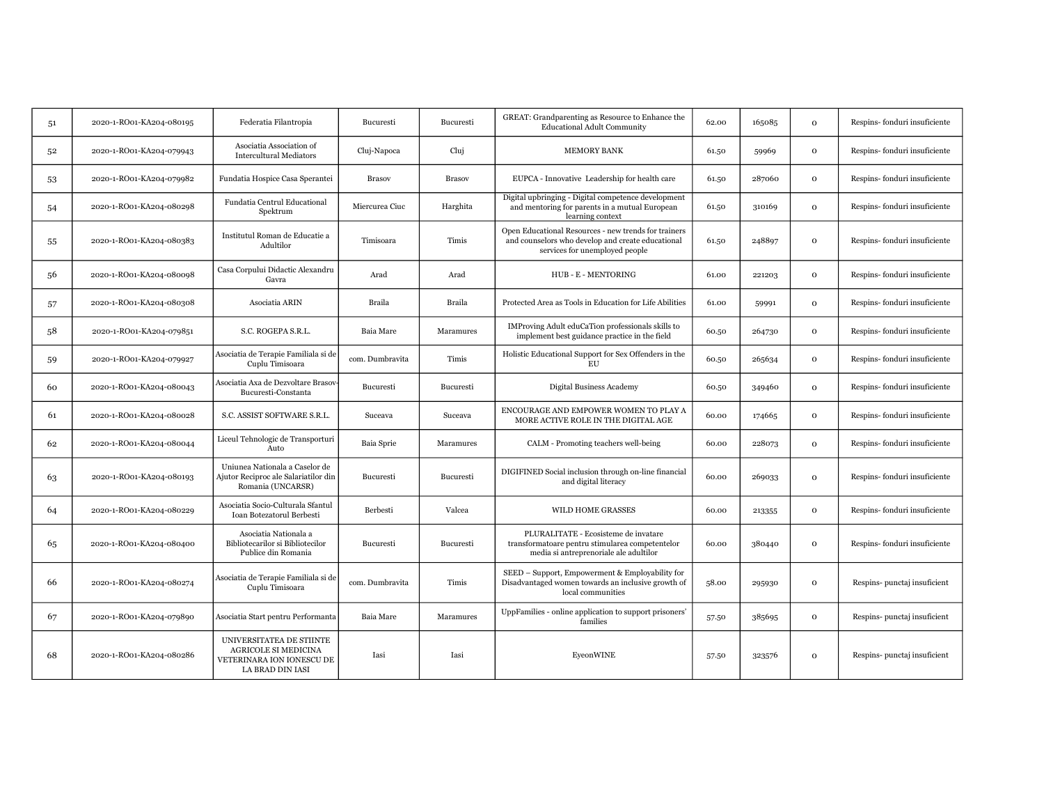| 51 | 2020-1-RO01-KA204-080195 | Federatia Filantropia                                                                                    | Bucuresti       | Bucuresti     | GREAT: Grandparenting as Resource to Enhance the<br><b>Educational Adult Community</b>                                                      | 62.00 | 165085 | $\mathbf{o}$ | Respins-fonduri insuficiente |
|----|--------------------------|----------------------------------------------------------------------------------------------------------|-----------------|---------------|---------------------------------------------------------------------------------------------------------------------------------------------|-------|--------|--------------|------------------------------|
| 52 | 2020-1-RO01-KA204-079943 | Asociatia Association of<br><b>Intercultural Mediators</b>                                               | Cluj-Napoca     | Cluj          | <b>MEMORY BANK</b>                                                                                                                          | 61.50 | 59969  | $\mathbf{o}$ | Respins-fonduri insuficiente |
| 53 | 2020-1-RO01-KA204-079982 | Fundatia Hospice Casa Sperantei                                                                          | <b>Brasov</b>   | <b>Brasov</b> | EUPCA - Innovative Leadership for health care                                                                                               | 61.50 | 287060 | $\mathbf{o}$ | Respins-fonduri insuficiente |
| 54 | 2020-1-RO01-KA204-080298 | Fundatia Centrul Educational<br>Spektrum                                                                 | Miercurea Ciuc  | Harghita      | Digital upbringing - Digital competence development<br>and mentoring for parents in a mutual European<br>learning context                   | 61.50 | 310169 | $\mathbf{o}$ | Respins-fonduri insuficiente |
| 55 | 2020-1-RO01-KA204-080383 | Institutul Roman de Educatie a<br>Adultilor                                                              | Timisoara       | Timis         | Open Educational Resources - new trends for trainers<br>and counselors who develop and create educational<br>services for unemployed people | 61.50 | 248897 | $\mathbf{o}$ | Respins-fonduri insuficiente |
| 56 | 2020-1-RO01-KA204-080098 | Casa Corpului Didactic Alexandru<br>Gavra                                                                | Arad            | Arad          | HUB-E-MENTORING                                                                                                                             | 61.00 | 221203 | $\mathbf 0$  | Respins-fonduri insuficiente |
| 57 | 2020-1-RO01-KA204-080308 | Asociatia ARIN                                                                                           | Braila          | Braila        | Protected Area as Tools in Education for Life Abilities                                                                                     | 61.00 | 59991  | $\mathbf{O}$ | Respins-fonduri insuficiente |
| 58 | 2020-1-RO01-KA204-079851 | S.C. ROGEPA S.R.L.                                                                                       | Baia Mare       | Maramures     | IMProving Adult eduCaTion professionals skills to<br>implement best guidance practice in the field                                          | 60.50 | 264730 | $\mathbf 0$  | Respins-fonduri insuficiente |
| 59 | 2020-1-RO01-KA204-079927 | Asociatia de Terapie Familiala si de<br>Cuplu Timisoara                                                  | com. Dumbravita | Timis         | Holistic Educational Support for Sex Offenders in the<br>EU                                                                                 | 60.50 | 265634 | $\mathbf 0$  | Respins-fonduri insuficiente |
| 60 | 2020-1-RO01-KA204-080043 | Asociatia Axa de Dezvoltare Brasov-<br>Bucuresti-Constanta                                               | Bucuresti       | Bucuresti     | Digital Business Academy                                                                                                                    | 60.50 | 349460 | $\mathbf{O}$ | Respins-fonduri insuficiente |
| 61 | 2020-1-RO01-KA204-080028 | S.C. ASSIST SOFTWARE S.R.L.                                                                              | Suceava         | Suceava       | ENCOURAGE AND EMPOWER WOMEN TO PLAY A<br>MORE ACTIVE ROLE IN THE DIGITAL AGE                                                                | 60.00 | 174665 | $\mathbf{O}$ | Respins-fonduri insuficiente |
| 62 | 2020-1-RO01-KA204-080044 | Liceul Tehnologic de Transporturi<br>Auto                                                                | Baia Sprie      | Maramures     | CALM - Promoting teachers well-being                                                                                                        | 60.00 | 228073 | $\mathbf{o}$ | Respins-fonduri insuficiente |
| 63 | 2020-1-RO01-KA204-080193 | Uniunea Nationala a Caselor de<br>Ajutor Reciproc ale Salariatilor din<br>Romania (UNCARSR)              | Bucuresti       | Bucuresti     | DIGIFINED Social inclusion through on-line financial<br>and digital literacy                                                                | 60.00 | 269033 | $\mathbf{o}$ | Respins-fonduri insuficiente |
| 64 | 2020-1-RO01-KA204-080229 | Asociatia Socio-Culturala Sfantul<br>Ioan Botezatorul Berbesti                                           | Berbesti        | Valcea        | <b>WILD HOME GRASSES</b>                                                                                                                    | 60.00 | 213355 | $\mathbf{o}$ | Respins-fonduri insuficiente |
| 65 | 2020-1-RO01-KA204-080400 | Asociatia Nationala a<br>Bibliotecarilor si Bibliotecilor<br>Publice din Romania                         | Bucuresti       | Bucuresti     | PLURALITATE - Ecosisteme de invatare<br>transformatoare pentru stimularea competentelor<br>media si antreprenoriale ale adultilor           | 60.00 | 380440 | $\mathbf{O}$ | Respins-fonduri insuficiente |
| 66 | 2020-1-RO01-KA204-080274 | Asociatia de Terapie Familiala si de<br>Cuplu Timisoara                                                  | com. Dumbravita | Timis         | SEED - Support, Empowerment & Employability for<br>Disadvantaged women towards an inclusive growth of<br>local communities                  | 58.00 | 295930 | $\mathbf{O}$ | Respins-punctaj insuficient  |
| 67 | 2020-1-RO01-KA204-079890 | Asociatia Start pentru Performanta                                                                       | Baia Mare       | Maramures     | UppFamilies - online application to support prisoners'<br>families                                                                          | 57.50 | 385695 | $\mathbf{O}$ | Respins-punctaj insuficient  |
| 68 | 2020-1-RO01-KA204-080286 | UNIVERSITATEA DE STIINTE<br><b>AGRICOLE SI MEDICINA</b><br>VETERINARA ION IONESCU DE<br>LA BRAD DIN IASI | Iasi            | Iasi          | EyeonWINE                                                                                                                                   | 57.50 | 323576 | $\mathbf 0$  | Respins-punctaj insuficient  |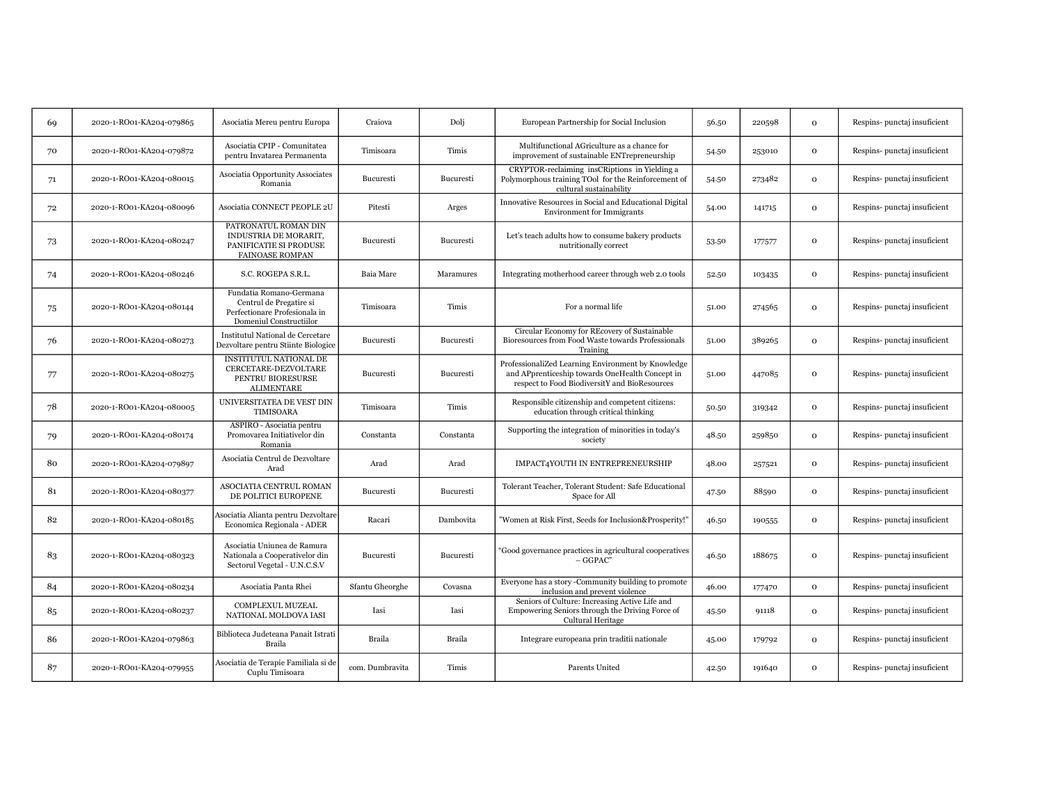| 69 | 2020-1-RO01-KA204-079865 | Asociatia Mereu pentru Europa                                                                                  | Craiova         | Dolj             | European Partnership for Social Inclusion                                                                                                              | 56.50 | 220598 | $\mathbf{o}$ | Respins-punctaj insuficient |
|----|--------------------------|----------------------------------------------------------------------------------------------------------------|-----------------|------------------|--------------------------------------------------------------------------------------------------------------------------------------------------------|-------|--------|--------------|-----------------------------|
| 70 | 2020-1-RO01-KA204-079872 | Asociatia CPIP - Comunitatea<br>pentru Invatarea Permanenta                                                    | Timisoara       | Timis            | Multifunctional AGriculture as a chance for<br>improvement of sustainable ENTrepreneurship                                                             | 54.50 | 253010 | $\mathbf 0$  | Respins-punctaj insuficient |
| 71 | 2020-1-RO01-KA204-080015 | Asociatia Opportunity Associates<br>Romania                                                                    | Bucuresti       | <b>Bucuresti</b> | CRYPTOR-reclaiming insCRiptions in Yielding a<br>Polymorphous training TOol for the Reinforcement of<br>cultural sustainability                        | 54.50 | 273482 | $\mathbf{O}$ | Respins-punctaj insuficient |
| 72 | 2020-1-RO01-KA204-080096 | Asociatia CONNECT PEOPLE 2U                                                                                    | Pitesti         | Arges            | Innovative Resources in Social and Educational Digital<br><b>Environment</b> for Immigrants                                                            | 54.00 | 141715 | $\mathbf{O}$ | Respins-punctaj insuficient |
| 73 | 2020-1-RO01-KA204-080247 | PATRONATUL ROMAN DIN<br>INDUSTRIA DE MORARIT,<br>PANIFICATIE SI PRODUSE<br><b>FAINOASE ROMPAN</b>              | Bucuresti       | Bucuresti        | Let's teach adults how to consume bakery products<br>nutritionally correct                                                                             | 53.50 | 177577 | $\mathbf{o}$ | Respins-punctaj insuficient |
| 74 | 2020-1-RO01-KA204-080246 | S.C. ROGEPA S.R.L.                                                                                             | Baia Mare       | Maramures        | Integrating motherhood career through web 2.0 tools                                                                                                    | 52.50 | 103435 | $\mathbf{o}$ | Respins-punctaj insuficient |
| 75 | 2020-1-RO01-KA204-080144 | Fundatia Romano-Germana<br>Centrul de Pregatire si<br>Perfectionare Profesionala in<br>Domeniul Constructiilor | Timisoara       | Timis            | For a normal life                                                                                                                                      | 51.00 | 274565 | $\mathbf 0$  | Respins-punctaj insuficient |
| 76 | 2020-1-RO01-KA204-080273 | Institutul National de Cercetare<br>Dezvoltare pentru Stiinte Biologice                                        | Bucuresti       | Bucuresti        | Circular Economy for REcovery of Sustainable<br>Bioresources from Food Waste towards Professionals<br>Training                                         | 51.00 | 389265 | $\mathbf 0$  | Respins-punctaj insuficient |
| 77 | 2020-1-RO01-KA204-080275 | INSTITUTUL NATIONAL DE<br>CERCETARE-DEZVOLTARE<br>PENTRU BIORESURSE<br><b>ALIMENTARE</b>                       | Bucuresti       | Bucuresti        | ProfessionaliZed Learning Environment by Knowledge<br>and APprenticeship towards OneHealth Concept in<br>respect to Food BiodiversitY and BioResources | 51.00 | 447085 | $\mathbf 0$  | Respins-punctaj insuficient |
| 78 | 2020-1-RO01-KA204-080005 | UNIVERSITATEA DE VEST DIN<br>TIMISOARA                                                                         | Timisoara       | Timis            | Responsible citizenship and competent citizens:<br>education through critical thinking                                                                 | 50.50 | 319342 | $\mathbf{o}$ | Respins-punctaj insuficient |
| 79 | 2020-1-RO01-KA204-080174 | ASPIRO - Asociatia pentru<br>Promovarea Initiativelor din<br>Romania                                           | Constanta       | Constanta        | Supporting the integration of minorities in today's<br>society                                                                                         | 48.50 | 259850 | $\mathbf 0$  | Respins-punctaj insuficient |
| 80 | 2020-1-RO01-KA204-079897 | Asociatia Centrul de Dezvoltare<br>Arad                                                                        | Arad            | Arad             | IMPACT4YOUTH IN ENTREPRENEURSHIP                                                                                                                       | 48.00 | 257521 | $\mathbf{O}$ | Respins-punctaj insuficient |
| 81 | 2020-1-RO01-KA204-080377 | ASOCIATIA CENTRUL ROMAN<br>DE POLITICI EUROPENE                                                                | Bucuresti       | Bucuresti        | Tolerant Teacher, Tolerant Student: Safe Educational<br>Space for All                                                                                  | 47.50 | 88590  | $\mathbf{o}$ | Respins-punctaj insuficient |
| 82 | 2020-1-RO01-KA204-080185 | Asociatia Alianta pentru Dezvoltare<br>Economica Regionala - ADER                                              | Racari          | Dambovita        | "Women at Risk First, Seeds for Inclusion&Prosperity!"                                                                                                 | 46.50 | 190555 | $\mathbf{O}$ | Respins-punctaj insuficient |
| 83 | 2020-1-RO01-KA204-080323 | Asociatia Uniunea de Ramura<br>Nationala a Cooperativelor din<br>Sectorul Vegetal - U.N.C.S.V                  | Bucuresti       | <b>Bucuresti</b> | 'Good governance practices in agricultural cooperatives<br>$-$ GGPAC <sup>*</sup>                                                                      | 46.50 | 188675 | $\mathbf{O}$ | Respins-punctaj insuficient |
| 84 | 2020-1-RO01-KA204-080234 | Asociatia Panta Rhei                                                                                           | Sfantu Gheorghe | Covasna          | Everyone has a story -Community building to promote<br>inclusion and prevent violence                                                                  | 46.00 | 177470 | $\mathbf{o}$ | Respins-punctaj insuficient |
| 85 | 2020-1-RO01-KA204-080237 | <b>COMPLEXUL MUZEAL</b><br>NATIONAL MOLDOVA IASI                                                               | Iasi            | Iasi             | Seniors of Culture: Increasing Active Life and<br>Empowering Seniors through the Driving Force of<br>Cultural Heritage                                 | 45.50 | 91118  | $\mathbf{O}$ | Respins-punctaj insuficient |
| 86 | 2020-1-RO01-KA204-079863 | Biblioteca Judeteana Panait Istrati<br>Braila                                                                  | Braila          | Braila           | Integrare europeana prin traditii nationale                                                                                                            | 45.00 | 179792 | $\mathbf{O}$ | Respins-punctaj insuficient |
| 87 | 2020-1-RO01-KA204-079955 | Asociatia de Terapie Familiala si de<br>Cuplu Timisoara                                                        | com. Dumbravita | Timis            | Parents United                                                                                                                                         | 42.50 | 191640 | $\mathbf{o}$ | Respins-punctaj insuficient |